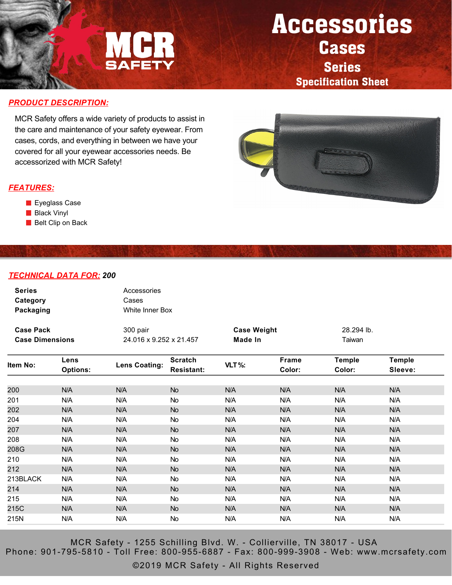

## Accessories **Cases** Series

Specification Sheet

### *PRODUCT DESCRIPTION:*

MCR Safety offers a wide variety of products to assist in the care and maintenance of your safety eyewear. From cases, cords, and everything in between we have your covered for all your eyewear accessories needs. Be accessorized with MCR Safety!



#### *FEATURES:*

- **Eyeglass Case**
- **Black Vinyl**
- **Belt Clip on Back**

#### *TECHNICAL DATA FOR: 200*

| <b>Series</b><br>Category<br>Packaging<br><b>Case Pack</b><br><b>Case Dimensions</b> |                         | Accessories<br>Cases<br>White Inner Box |                                     |                               |                        |                         |                          |  |  |
|--------------------------------------------------------------------------------------|-------------------------|-----------------------------------------|-------------------------------------|-------------------------------|------------------------|-------------------------|--------------------------|--|--|
|                                                                                      |                         | 300 pair<br>24.016 x 9.252 x 21.457     |                                     | <b>Case Weight</b><br>Made In |                        | 28.294 lb.<br>Taiwan    |                          |  |  |
| ltem No:                                                                             | Lens<br><b>Options:</b> | <b>Lens Coating:</b>                    | <b>Scratch</b><br><b>Resistant:</b> | VLT%:                         | <b>Frame</b><br>Color: | <b>Temple</b><br>Color: | <b>Temple</b><br>Sleeve: |  |  |
| 200                                                                                  | N/A                     | N/A                                     | <b>No</b>                           | N/A                           | N/A                    | N/A                     | N/A                      |  |  |
| 201                                                                                  | N/A                     | N/A                                     | No                                  | N/A                           | N/A                    | N/A                     | N/A                      |  |  |
| 202                                                                                  | N/A                     | N/A                                     | <b>No</b>                           | N/A                           | N/A                    | N/A                     | N/A                      |  |  |
| 204                                                                                  | N/A                     | N/A                                     | <b>No</b>                           | N/A                           | N/A                    | N/A                     | N/A                      |  |  |
| 207                                                                                  | N/A                     | N/A                                     | <b>No</b>                           | N/A                           | N/A                    | N/A                     | N/A                      |  |  |
| 208                                                                                  | N/A                     | N/A                                     | <b>No</b>                           | N/A                           | N/A                    | N/A                     | N/A                      |  |  |
| 208G                                                                                 | N/A                     | N/A                                     | <b>No</b>                           | N/A                           | N/A                    | N/A                     | N/A                      |  |  |
| 210                                                                                  | N/A                     | N/A                                     | <b>No</b>                           | N/A                           | N/A                    | N/A                     | N/A                      |  |  |
| 212                                                                                  | N/A                     | N/A                                     | <b>No</b>                           | N/A                           | N/A                    | N/A                     | N/A                      |  |  |
| 213BLACK                                                                             | N/A                     | N/A                                     | No.                                 | N/A                           | N/A                    | N/A                     | N/A                      |  |  |
| 214                                                                                  | N/A                     | N/A                                     | <b>No</b>                           | N/A                           | N/A                    | N/A                     | N/A                      |  |  |
| 215                                                                                  | N/A                     | N/A                                     | No                                  | N/A                           | N/A                    | N/A                     | N/A                      |  |  |
| 215C                                                                                 | N/A                     | N/A                                     | <b>No</b>                           | N/A                           | N/A                    | N/A                     | N/A                      |  |  |
| 215N                                                                                 | N/A                     | N/A                                     | <b>No</b>                           | N/A                           | N/A                    | N/A                     | N/A                      |  |  |

MCR Safety - 1255 Schilling Blvd. W. - Collierville, TN 38017 - USA Phone: 901-795-5810 - Toll Free: 800-955-6887 - Fax: 800-999-3908 - Web: www.mcrsafety.com

©2019 MCR Safety - All Rights Reserved